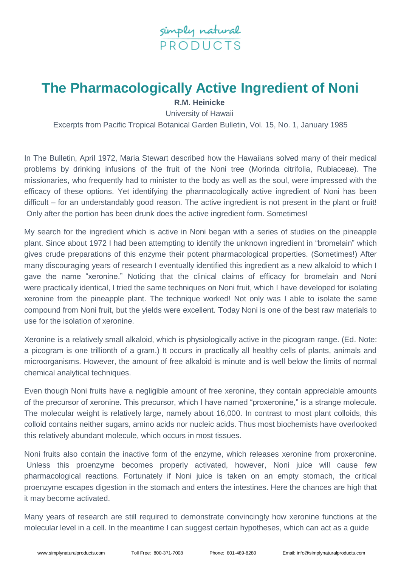

## **The Pharmacologically Active Ingredient of Noni**

**R.M. Heinicke**

University of Hawaii Excerpts from Pacific Tropical Botanical Garden Bulletin, Vol. 15, No. 1, January 1985

In The Bulletin, April 1972, Maria Stewart described how the Hawaiians solved many of their medical problems by drinking infusions of the fruit of the Noni tree (Morinda citrifolia, Rubiaceae). The missionaries, who frequently had to minister to the body as well as the soul, were impressed with the efficacy of these options. Yet identifying the pharmacologically active ingredient of Noni has been difficult – for an understandably good reason. The active ingredient is not present in the plant or fruit! Only after the portion has been drunk does the active ingredient form. Sometimes!

My search for the ingredient which is active in Noni began with a series of studies on the pineapple plant. Since about 1972 I had been attempting to identify the unknown ingredient in "bromelain" which gives crude preparations of this enzyme their potent pharmacological properties. (Sometimes!) After many discouraging years of research I eventually identified this ingredient as a new alkaloid to which I gave the name "xeronine." Noticing that the clinical claims of efficacy for bromelain and Noni were practically identical, I tried the same techniques on Noni fruit, which I have developed for isolating xeronine from the pineapple plant. The technique worked! Not only was I able to isolate the same compound from Noni fruit, but the yields were excellent. Today Noni is one of the best raw materials to use for the isolation of xeronine.

Xeronine is a relatively small alkaloid, which is physiologically active in the picogram range. (Ed. Note: a picogram is one trillionth of a gram.) It occurs in practically all healthy cells of plants, animals and microorganisms. However, the amount of free alkaloid is minute and is well below the limits of normal chemical analytical techniques.

Even though Noni fruits have a negligible amount of free xeronine, they contain appreciable amounts of the precursor of xeronine. This precursor, which I have named "proxeronine," is a strange molecule. The molecular weight is relatively large, namely about 16,000. In contrast to most plant colloids, this colloid contains neither sugars, amino acids nor nucleic acids. Thus most biochemists have overlooked this relatively abundant molecule, which occurs in most tissues.

Noni fruits also contain the inactive form of the enzyme, which releases xeronine from proxeronine. Unless this proenzyme becomes properly activated, however, Noni juice will cause few pharmacological reactions. Fortunately if Noni juice is taken on an empty stomach, the critical proenzyme escapes digestion in the stomach and enters the intestines. Here the chances are high that it may become activated.

Many years of research are still required to demonstrate convincingly how xeronine functions at the molecular level in a cell. In the meantime I can suggest certain hypotheses, which can act as a guide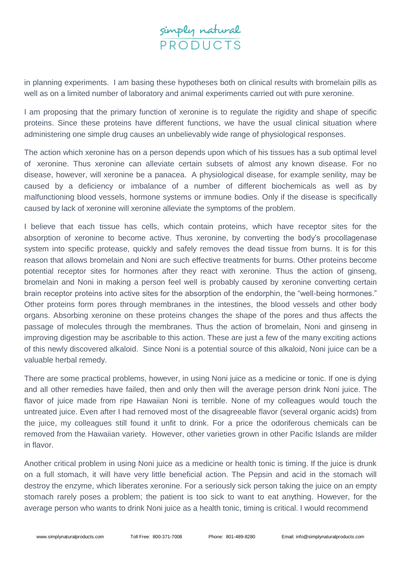

in planning experiments. I am basing these hypotheses both on clinical results with bromelain pills as well as on a limited number of laboratory and animal experiments carried out with pure xeronine.

I am proposing that the primary function of xeronine is to regulate the rigidity and shape of specific proteins. Since these proteins have different functions, we have the usual clinical situation where administering one simple drug causes an unbelievably wide range of physiological responses.

The action which xeronine has on a person depends upon which of his tissues has a sub optimal level of xeronine. Thus xeronine can alleviate certain subsets of almost any known disease. For no disease, however, will xeronine be a panacea. A physiological disease, for example senility, may be caused by a deficiency or imbalance of a number of different biochemicals as well as by malfunctioning blood vessels, hormone systems or immune bodies. Only if the disease is specifically caused by lack of xeronine will xeronine alleviate the symptoms of the problem.

I believe that each tissue has cells, which contain proteins, which have receptor sites for the absorption of xeronine to become active. Thus xeronine, by converting the body's procollagenase system into specific protease, quickly and safely removes the dead tissue from burns. It is for this reason that allows bromelain and Noni are such effective treatments for burns. Other proteins become potential receptor sites for hormones after they react with xeronine. Thus the action of ginseng, bromelain and Noni in making a person feel well is probably caused by xeronine converting certain brain receptor proteins into active sites for the absorption of the endorphin, the "well-being hormones." Other proteins form pores through membranes in the intestines, the blood vessels and other body organs. Absorbing xeronine on these proteins changes the shape of the pores and thus affects the passage of molecules through the membranes. Thus the action of bromelain, Noni and ginseng in improving digestion may be ascribable to this action. These are just a few of the many exciting actions of this newly discovered alkaloid. Since Noni is a potential source of this alkaloid, Noni juice can be a valuable herbal remedy.

There are some practical problems, however, in using Noni juice as a medicine or tonic. If one is dying and all other remedies have failed, then and only then will the average person drink Noni juice. The flavor of juice made from ripe Hawaiian Noni is terrible. None of my colleagues would touch the untreated juice. Even after I had removed most of the disagreeable flavor (several organic acids) from the juice, my colleagues still found it unfit to drink. For a price the odoriferous chemicals can be removed from the Hawaiian variety. However, other varieties grown in other Pacific Islands are milder in flavor.

Another critical problem in using Noni juice as a medicine or health tonic is timing. If the juice is drunk on a full stomach, it will have very little beneficial action. The Pepsin and acid in the stomach will destroy the enzyme, which liberates xeronine. For a seriously sick person taking the juice on an empty stomach rarely poses a problem; the patient is too sick to want to eat anything. However, for the average person who wants to drink Noni juice as a health tonic, timing is critical. I would recommend